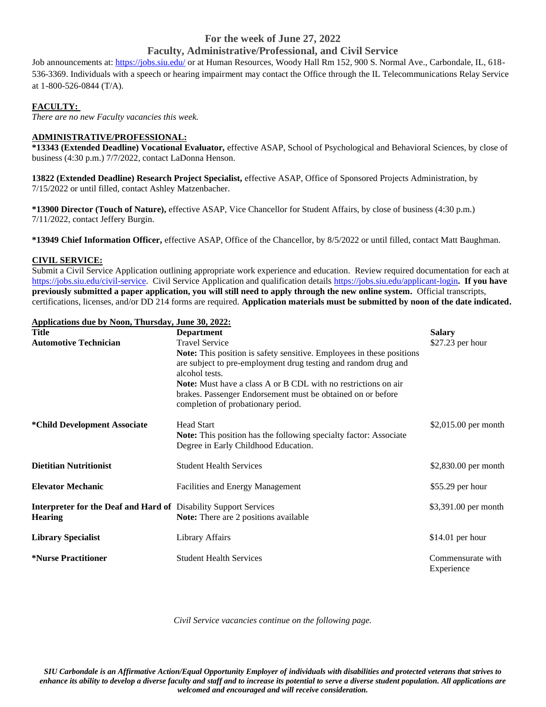# **For the week of June 27, 2022 Faculty, Administrative/Professional, and Civil Service**

Job announcements at:<https://jobs.siu.edu/> or at Human Resources, Woody Hall Rm 152, 900 S. Normal Ave., Carbondale, IL, 618-536-3369. Individuals with a speech or hearing impairment may contact the Office through the IL Telecommunications Relay Service at 1-800-526-0844 (T/A).

## **FACULTY:**

*There are no new Faculty vacancies this week.*

# **ADMINISTRATIVE/PROFESSIONAL:**

**\*13343 (Extended Deadline) Vocational Evaluator,** effective ASAP, School of Psychological and Behavioral Sciences, by close of business (4:30 p.m.) 7/7/2022, contact LaDonna Henson.

**13822 (Extended Deadline) Research Project Specialist,** effective ASAP, Office of Sponsored Projects Administration, by 7/15/2022 or until filled, contact Ashley Matzenbacher.

**\*13900 Director (Touch of Nature),** effective ASAP, Vice Chancellor for Student Affairs, by close of business (4:30 p.m.) 7/11/2022, contact Jeffery Burgin.

**\*13949 Chief Information Officer,** effective ASAP, Office of the Chancellor, by 8/5/2022 or until filled, contact Matt Baughman.

### **CIVIL SERVICE:**

Submit a Civil Service Application outlining appropriate work experience and education. Review required documentation for each at [https://jobs.siu.edu/civil-service.](https://jobs.siu.edu/civil-service) Civil Service Application and qualification detail[s https://jobs.siu.edu/applicant-login](https://jobs.siu.edu/applicant-login)**. If you have previously submitted a paper application, you will still need to apply through the new online system.** Official transcripts, certifications, licenses, and/or DD 214 forms are required. **Application materials must be submitted by noon of the date indicated.**

|              | Applications due by Noon, Thursday, June 30, 2022: |
|--------------|----------------------------------------------------|
| <b>Title</b> | <b>Department</b>                                  |

| <b>Title</b>                                                                       | <b>Department</b>                                                                                                                                                          | <b>Salary</b>                   |
|------------------------------------------------------------------------------------|----------------------------------------------------------------------------------------------------------------------------------------------------------------------------|---------------------------------|
| <b>Automotive Technician</b>                                                       | <b>Travel Service</b>                                                                                                                                                      | $$27.23$ per hour               |
|                                                                                    | <b>Note:</b> This position is safety sensitive. Employees in these positions<br>are subject to pre-employment drug testing and random drug and<br>alcohol tests.           |                                 |
|                                                                                    | <b>Note:</b> Must have a class A or B CDL with no restrictions on air<br>brakes. Passenger Endorsement must be obtained on or before<br>completion of probationary period. |                                 |
| *Child Development Associate                                                       | <b>Head Start</b><br><b>Note:</b> This position has the following specialty factor: Associate<br>Degree in Early Childhood Education.                                      | \$2,015.00 per month            |
| <b>Dietitian Nutritionist</b>                                                      | <b>Student Health Services</b>                                                                                                                                             | \$2,830.00 per month            |
| <b>Elevator Mechanic</b>                                                           | <b>Facilities and Energy Management</b>                                                                                                                                    | $$55.29$ per hour               |
| Interpreter for the Deaf and Hard of Disability Support Services<br><b>Hearing</b> | <b>Note:</b> There are 2 positions available                                                                                                                               | \$3,391.00 per month            |
| <b>Library Specialist</b>                                                          | Library Affairs                                                                                                                                                            | $$14.01$ per hour               |
| <i><b>*Nurse Practitioner</b></i>                                                  | <b>Student Health Services</b>                                                                                                                                             | Commensurate with<br>Experience |

*Civil Service vacancies continue on the following page.*

*SIU Carbondale is an Affirmative Action/Equal Opportunity Employer of individuals with disabilities and protected veterans that strives to enhance its ability to develop a diverse faculty and staff and to increase its potential to serve a diverse student population. All applications are welcomed and encouraged and will receive consideration.*